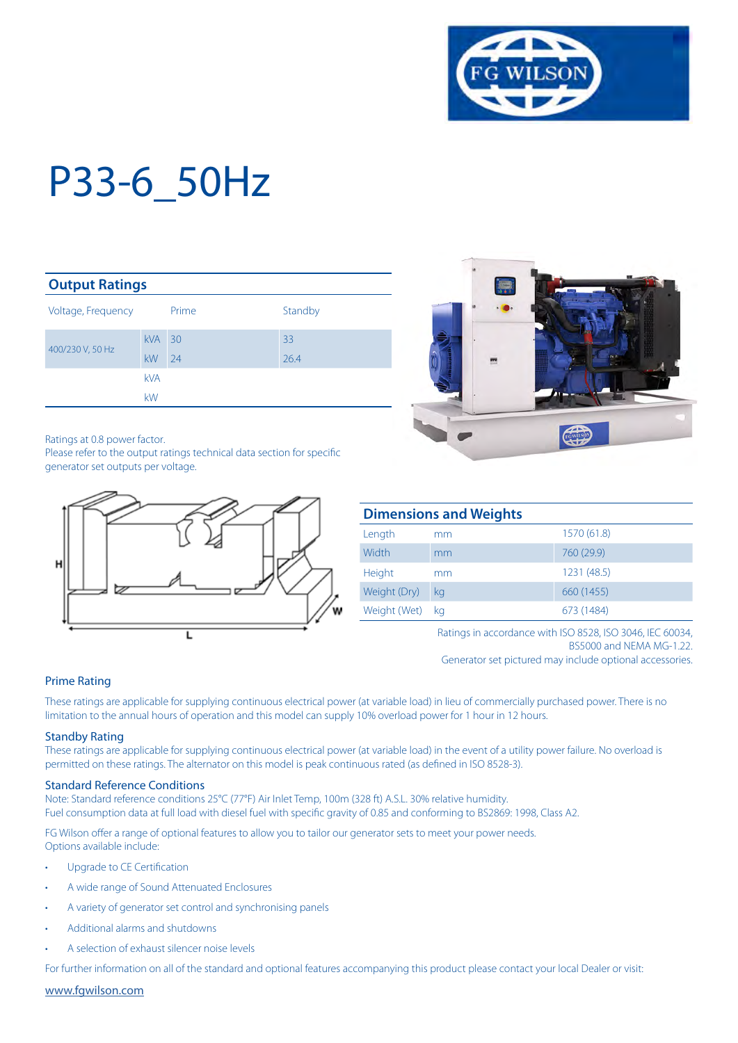

| <b>Output Ratings</b> |            |                 |         |  |  |
|-----------------------|------------|-----------------|---------|--|--|
| Voltage, Frequency    |            | Prime           | Standby |  |  |
| 400/230 V, 50 Hz      | <b>kVA</b> | $\overline{30}$ | 33      |  |  |
|                       | kW         | 24              | 26.4    |  |  |
|                       | <b>kVA</b> |                 |         |  |  |
|                       | kW         |                 |         |  |  |

Ratings at 0.8 power factor.

Please refer to the output ratings technical data section for specific generator set outputs per voltage.





|              | <b>Dimensions and Weights</b> |             |
|--------------|-------------------------------|-------------|
| Length       | mm                            | 1570 (61.8) |
| Width        | mm                            | 760 (29.9)  |
| Height       | mm                            | 1231 (48.5) |
| Weight (Dry) | kg                            | 660 (1455)  |
| Weight (Wet) | ka                            | 673 (1484)  |

Ratings in accordance with ISO 8528, ISO 3046, IEC 60034, BS5000 and NEMA MG-1.22. Generator set pictured may include optional accessories.

#### Prime Rating

These ratings are applicable for supplying continuous electrical power (at variable load) in lieu of commercially purchased power. There is no limitation to the annual hours of operation and this model can supply 10% overload power for 1 hour in 12 hours.

#### Standby Rating

These ratings are applicable for supplying continuous electrical power (at variable load) in the event of a utility power failure. No overload is permitted on these ratings. The alternator on this model is peak continuous rated (as defined in ISO 8528-3).

#### Standard Reference Conditions

Note: Standard reference conditions 25°C (77°F) Air Inlet Temp, 100m (328 ft) A.S.L. 30% relative humidity. Fuel consumption data at full load with diesel fuel with specific gravity of 0.85 and conforming to BS2869: 1998, Class A2.

FG Wilson offer a range of optional features to allow you to tailor our generator sets to meet your power needs. Options available include:

- Upgrade to CE Certification
- A wide range of Sound Attenuated Enclosures
- A variety of generator set control and synchronising panels
- Additional alarms and shutdowns
- A selection of exhaust silencer noise levels

For further information on all of the standard and optional features accompanying this product please contact your local Dealer or visit:

www.fgwilson.com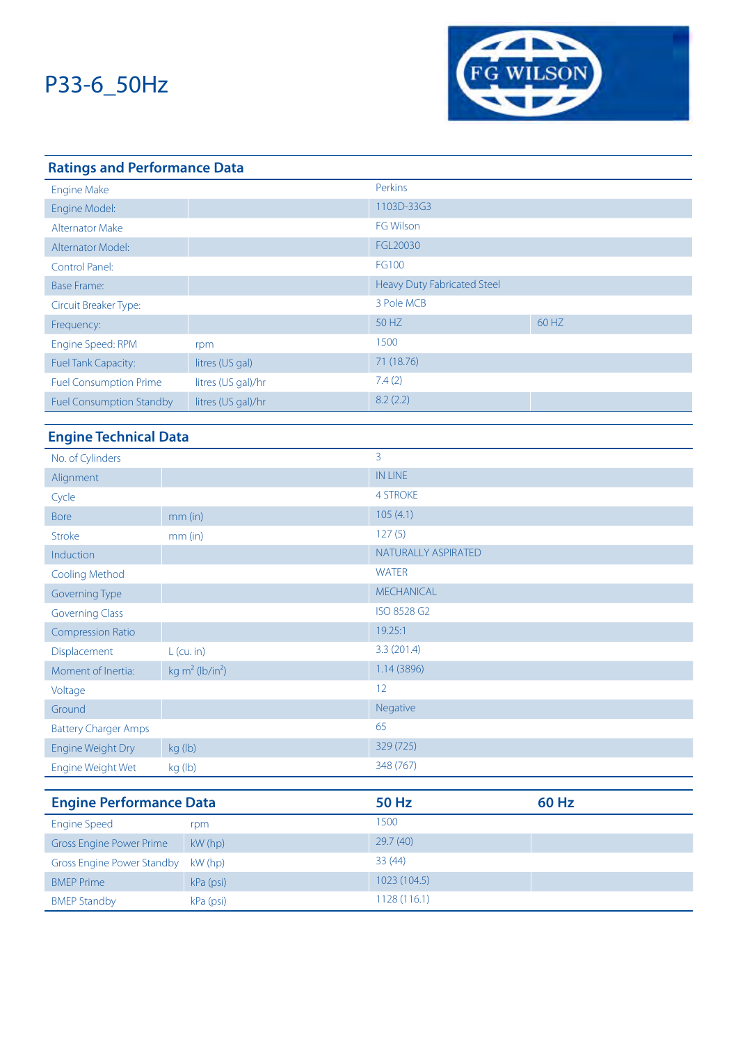

| <b>Ratings and Performance Data</b> |                    |                             |       |  |  |
|-------------------------------------|--------------------|-----------------------------|-------|--|--|
| <b>Engine Make</b>                  |                    | Perkins                     |       |  |  |
| Engine Model:                       |                    | 1103D-33G3                  |       |  |  |
| <b>Alternator Make</b>              |                    | <b>FG Wilson</b>            |       |  |  |
| Alternator Model:                   |                    | FGL20030                    |       |  |  |
| Control Panel:                      |                    | FG100                       |       |  |  |
| <b>Base Frame:</b>                  |                    | Heavy Duty Fabricated Steel |       |  |  |
| Circuit Breaker Type:               |                    | 3 Pole MCB                  |       |  |  |
| Frequency:                          |                    | 50 HZ                       | 60 HZ |  |  |
| Engine Speed: RPM                   | rpm                | 1500                        |       |  |  |
| <b>Fuel Tank Capacity:</b>          | litres (US gal)    | 71 (18.76)                  |       |  |  |
| <b>Fuel Consumption Prime</b>       | litres (US gal)/hr | 7.4(2)                      |       |  |  |
| <b>Fuel Consumption Standby</b>     | litres (US gal)/hr | 8.2(2.2)                    |       |  |  |

### **Engine Technical Data**

| No. of Cylinders                  |                                         | 3                   |              |  |
|-----------------------------------|-----------------------------------------|---------------------|--------------|--|
| Alignment                         |                                         | <b>IN LINE</b>      |              |  |
| Cycle                             |                                         | <b>4 STROKE</b>     |              |  |
| <b>Bore</b>                       | mm (in)                                 | 105(4.1)            |              |  |
| <b>Stroke</b>                     | mm (in)                                 | 127(5)              |              |  |
| Induction                         |                                         | NATURALLY ASPIRATED |              |  |
| Cooling Method                    |                                         | <b>WATER</b>        |              |  |
| Governing Type                    |                                         | <b>MECHANICAL</b>   |              |  |
| <b>Governing Class</b>            |                                         | ISO 8528 G2         |              |  |
| <b>Compression Ratio</b>          |                                         | 19.25:1             |              |  |
| Displacement                      | $L$ (cu. in)                            | 3.3(201.4)          |              |  |
| Moment of Inertia:                | kg m <sup>2</sup> (lb/in <sup>2</sup> ) | 1.14(3896)          |              |  |
| Voltage                           |                                         | 12                  |              |  |
| Ground                            |                                         | Negative            |              |  |
| <b>Battery Charger Amps</b>       |                                         | 65                  |              |  |
| Engine Weight Dry                 | kg (lb)                                 | 329 (725)           |              |  |
| Engine Weight Wet                 | kg (lb)                                 | 348 (767)           |              |  |
|                                   |                                         |                     |              |  |
| <b>Engine Performance Data</b>    |                                         | <b>50 Hz</b>        | <b>60 Hz</b> |  |
| <b>Engine Speed</b>               | rpm                                     | 1500                |              |  |
| <b>Gross Engine Power Prime</b>   | kW (hp)                                 | 29.7 (40)           |              |  |
| <b>Gross Engine Power Standby</b> | kW (hp)                                 | 33(44)              |              |  |
| <b>BMEP</b> Prime                 | kPa (psi)                               | 1023 (104.5)        |              |  |

BMEP Standby **kPa** (psi) 1128 (116.1)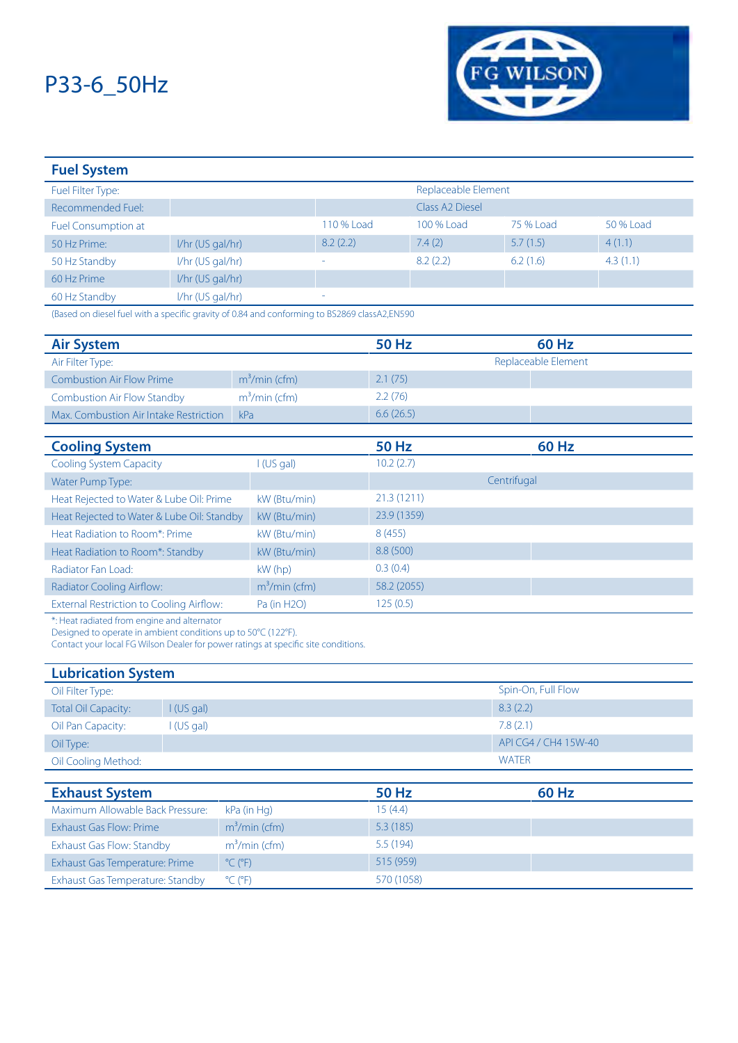

| <b>Fuel System</b>         |                    |                          |                             |           |           |
|----------------------------|--------------------|--------------------------|-----------------------------|-----------|-----------|
| Fuel Filter Type:          |                    |                          | Replaceable Element         |           |           |
| Recommended Fuel:          |                    |                          | Class A <sub>2</sub> Diesel |           |           |
| <b>Fuel Consumption at</b> |                    | 110 % Load               | 100 % Load                  | 75 % Load | 50 % Load |
| 50 Hz Prime:               | $1/hr$ (US gal/hr) | 8.2(2.2)                 | 7.4(2)                      | 5.7(1.5)  | 4(1.1)    |
| 50 Hz Standby              | I/hr (US gal/hr)   | $\overline{\phantom{a}}$ | 8.2(2.2)                    | 6.2(1.6)  | 4.3(1.1)  |
| 60 Hz Prime                | $I/hr$ (US gal/hr) |                          |                             |           |           |
| 60 Hz Standby              | I/hr (US gal/hr)   |                          |                             |           |           |

(Based on diesel fuel with a specific gravity of 0.84 and conforming to BS2869 classA2,EN590

| <b>Air System</b>                               |                | <b>50 Hz</b> | <b>60 Hz</b>        |  |
|-------------------------------------------------|----------------|--------------|---------------------|--|
| Air Filter Type:                                |                |              | Replaceable Element |  |
| <b>Combustion Air Flow Prime</b>                | $m3/min$ (cfm) | 2.1(75)      |                     |  |
| <b>Combustion Air Flow Standby</b>              | $m3/min$ (cfm) | 2.2(76)      |                     |  |
| Max. Combustion Air Intake Restriction          | kPa            | 6.6(26.5)    |                     |  |
|                                                 |                |              |                     |  |
| <b>Cooling System</b>                           |                | <b>50 Hz</b> | <b>60 Hz</b>        |  |
| <b>Cooling System Capacity</b>                  | I(US gal)      | 10.2(2.7)    |                     |  |
| Water Pump Type:                                |                |              | Centrifugal         |  |
| Heat Rejected to Water & Lube Oil: Prime        | kW (Btu/min)   | 21.3 (1211)  |                     |  |
| Heat Rejected to Water & Lube Oil: Standby      | kW (Btu/min)   | 23.9 (1359)  |                     |  |
| Heat Radiation to Room*: Prime                  | kW (Btu/min)   | 8(455)       |                     |  |
| Heat Radiation to Room*: Standby                | kW (Btu/min)   | 8.8 (500)    |                     |  |
| Radiator Fan Load:                              | $kW$ (hp)      | 0.3(0.4)     |                     |  |
| Radiator Cooling Airflow:                       | $m3/min$ (cfm) | 58.2 (2055)  |                     |  |
| <b>External Restriction to Cooling Airflow:</b> | Pa (in H2O)    | 125(0.5)     |                     |  |

\*: Heat radiated from engine and alternator

Designed to operate in ambient conditions up to 50°C (122°F).

Contact your local FG Wilson Dealer for power ratings at specific site conditions.

| <b>Lubrication System</b>  |            |                      |  |  |
|----------------------------|------------|----------------------|--|--|
| Oil Filter Type:           |            | Spin-On, Full Flow   |  |  |
| <b>Total Oil Capacity:</b> | I(US gal)  | 8.3(2.2)             |  |  |
| Oil Pan Capacity:          | I (US gal) | 7.8(2.1)             |  |  |
| Oil Type:                  |            | API CG4 / CH4 15W-40 |  |  |
| Oil Cooling Method:        |            | <b>WATER</b>         |  |  |

| <b>Exhaust System</b>            |                              | 50 Hz      | 60 Hz |
|----------------------------------|------------------------------|------------|-------|
| Maximum Allowable Back Pressure: | kPa (in Hg)                  | 15(4.4)    |       |
| Exhaust Gas Flow: Prime          | $m3/min$ (cfm)               | 5.3(185)   |       |
| Exhaust Gas Flow: Standby        | $m3/min$ (cfm)               | 5.5(194)   |       |
| Exhaust Gas Temperature: Prime   | $^{\circ}$ C ( $^{\circ}$ F) | 515 (959)  |       |
| Exhaust Gas Temperature: Standby | $^{\circ}$ C ( $^{\circ}$ F) | 570 (1058) |       |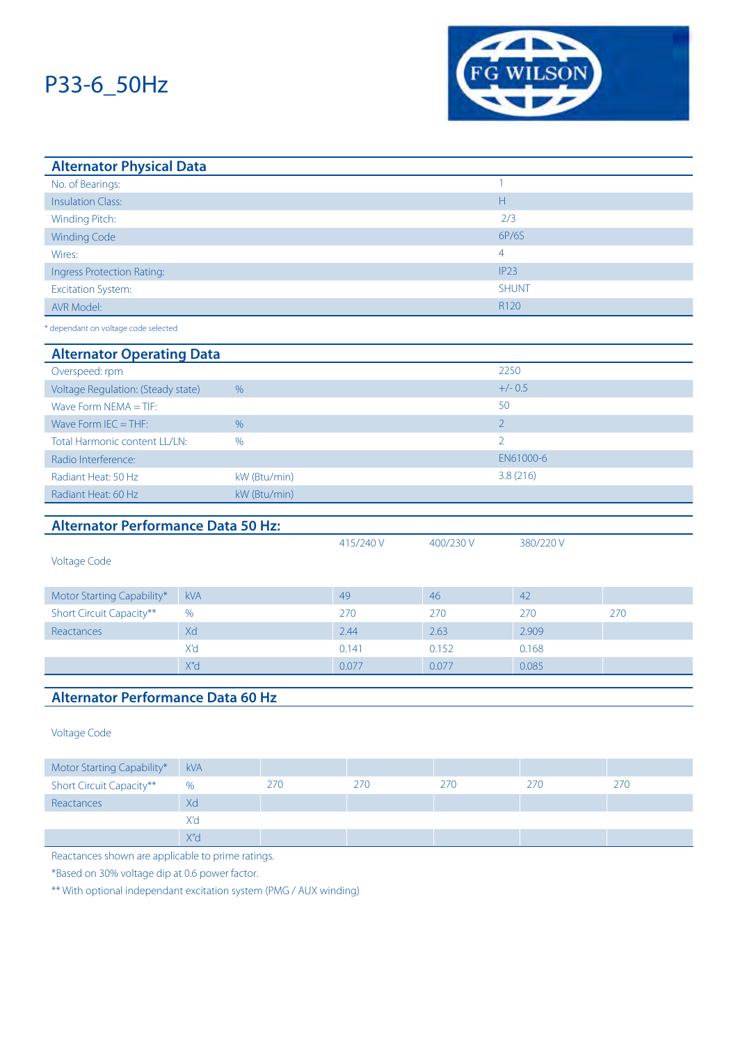

| <b>Alternator Physical Data</b>           |            |               |           |           |                         |     |  |
|-------------------------------------------|------------|---------------|-----------|-----------|-------------------------|-----|--|
| No. of Bearings:                          |            |               |           |           | $\mathbf{1}$            |     |  |
| <b>Insulation Class:</b>                  |            |               |           |           | $\overline{\mathsf{H}}$ |     |  |
| Winding Pitch:                            |            |               |           |           | 2/3                     |     |  |
| <b>Winding Code</b>                       |            |               |           |           | 6P/6S                   |     |  |
| Wires:                                    |            |               |           |           | $\overline{4}$          |     |  |
| <b>Ingress Protection Rating:</b>         |            |               |           |           | IP <sub>23</sub>        |     |  |
| <b>Excitation System:</b>                 |            |               |           |           | <b>SHUNT</b>            |     |  |
| <b>AVR Model:</b>                         |            |               |           |           | R120                    |     |  |
| * dependant on voltage code selected      |            |               |           |           |                         |     |  |
| <b>Alternator Operating Data</b>          |            |               |           |           |                         |     |  |
| Overspeed: rpm                            |            |               |           |           | 2250                    |     |  |
| Voltage Regulation: (Steady state)        |            | $\%$          |           |           | $+/- 0.5$               |     |  |
| Wave Form $NEMA = TIF$ :                  |            |               |           |           | 50                      |     |  |
| Wave Form $IEC = THF$ :                   |            | $\frac{0}{0}$ |           |           | $\overline{2}$          |     |  |
| Total Harmonic content LL/LN:             |            | %             |           |           | $\overline{2}$          |     |  |
| Radio Interference:                       |            |               |           |           | EN61000-6               |     |  |
| Radiant Heat: 50 Hz                       |            | kW (Btu/min)  |           |           | 3.8(216)                |     |  |
| Radiant Heat: 60 Hz                       |            | kW (Btu/min)  |           |           |                         |     |  |
|                                           |            |               |           |           |                         |     |  |
| <b>Alternator Performance Data 50 Hz:</b> |            |               |           |           |                         |     |  |
|                                           |            |               | 415/240 V | 400/230 V | 380/220V                |     |  |
| <b>Voltage Code</b>                       |            |               |           |           |                         |     |  |
| Motor Starting Capability*                | kVA        |               | 49        | 46        | 42                      |     |  |
| Short Circuit Capacity**                  | %          |               | 270       | 270       | 270                     | 270 |  |
| Reactances                                | Xd         |               | 2.44      | 2.63      | 2.909                   |     |  |
|                                           | X'd        |               | 0.141     | 0.152     | 0.168                   |     |  |
|                                           | X"d        |               | 0.077     | 0.077     | 0.085                   |     |  |
|                                           |            |               |           |           |                         |     |  |
| <b>Alternator Performance Data 60 Hz</b>  |            |               |           |           |                         |     |  |
|                                           |            |               |           |           |                         |     |  |
| <b>Voltage Code</b>                       |            |               |           |           |                         |     |  |
| Motor Starting Capability*                | <b>kVA</b> |               |           |           |                         |     |  |
| Short Circuit Capacity**                  | %          | 270           | 270       | 270       | 270                     | 270 |  |
| Reactances                                | Xd         |               |           |           |                         |     |  |
|                                           | X'd        |               |           |           |                         |     |  |

Reactances shown are applicable to prime ratings.

X"d

\*Based on 30% voltage dip at 0.6 power factor.

\*\* With optional independant excitation system (PMG / AUX winding)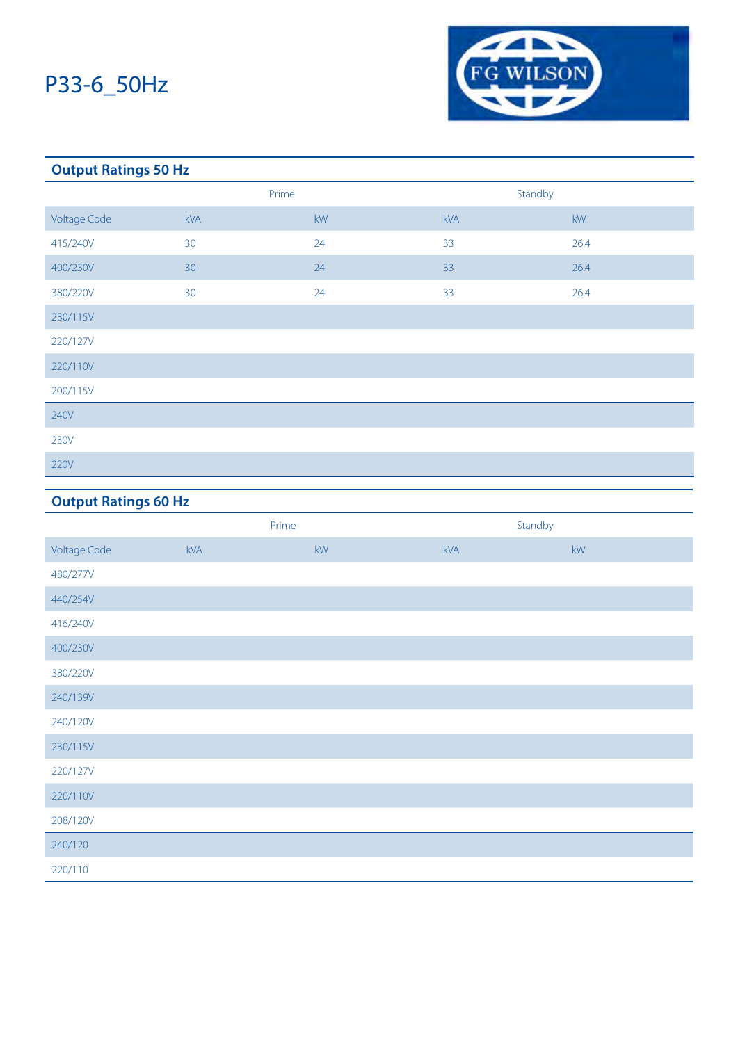

### **Output Ratings 50 Hz** Prime Standby Voltage Code kVA kW kVA kW 415/240V 30 30 24 33 35 26.4 400/230V 30 30 26.4 380/220V 30 30 24 33 33 26.4 230/115V 220/127V 220/110V 200/115V 240V 230V 220V

### **Output Ratings 60 Hz**

|                     | Prime |    | Standby |                        |
|---------------------|-------|----|---------|------------------------|
| <b>Voltage Code</b> | kVA   | kW | kVA     | $\mathsf{k}\mathsf{W}$ |
| 480/277V            |       |    |         |                        |
| 440/254V            |       |    |         |                        |
| 416/240V            |       |    |         |                        |
| 400/230V            |       |    |         |                        |
| 380/220V            |       |    |         |                        |
| 240/139V            |       |    |         |                        |
| 240/120V            |       |    |         |                        |
| 230/115V            |       |    |         |                        |
| 220/127V            |       |    |         |                        |
| 220/110V            |       |    |         |                        |
| 208/120V            |       |    |         |                        |
| 240/120             |       |    |         |                        |
| 220/110             |       |    |         |                        |